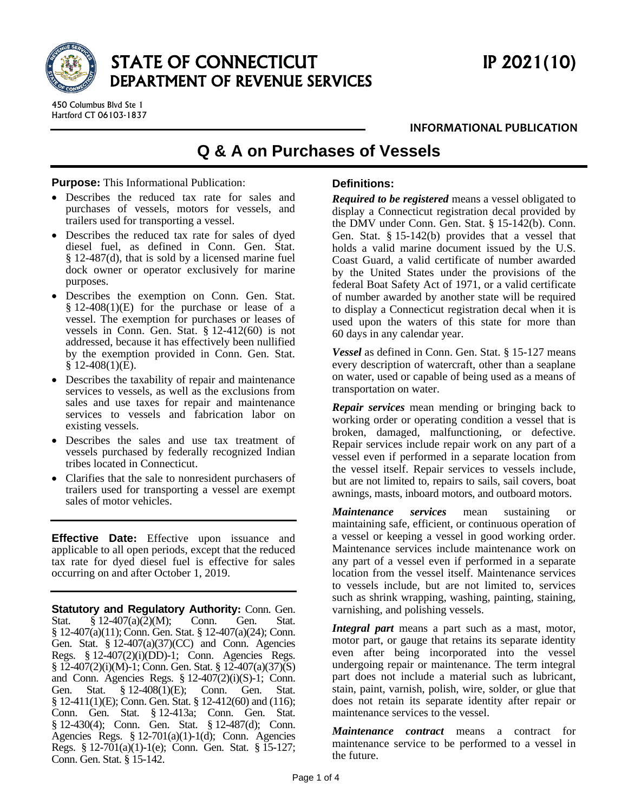

# STATE OF CONNECTICUT IP 2021(10) DEPARTMENT OF REVENUE SERVICES

450 Columbus Blvd Ste 1 Hartford CT 06103-1837

## **INFORMATIONAL PUBLICATION**

# **Q & A on Purchases of Vessels**

## **Purpose:** This Informational Publication:

- Describes the reduced tax rate for sales and purchases of vessels, motors for vessels, and trailers used for transporting a vessel.
- Describes the reduced tax rate for sales of dyed diesel fuel, as defined in Conn. Gen. Stat. § 12-487(d), that is sold by a licensed marine fuel dock owner or operator exclusively for marine purposes.
- Describes the exemption on Conn. Gen. Stat.  $§$  12-408(1)(E) for the purchase or lease of a vessel. The exemption for purchases or leases of vessels in Conn. Gen. Stat. § 12-412(60) is not addressed, because it has effectively been nullified by the exemption provided in Conn. Gen. Stat.  $$12-408(1)$ (E).
- Describes the taxability of repair and maintenance services to vessels, as well as the exclusions from sales and use taxes for repair and maintenance services to vessels and fabrication labor on existing vessels.
- Describes the sales and use tax treatment of vessels purchased by federally recognized Indian tribes located in Connecticut.
- Clarifies that the sale to nonresident purchasers of trailers used for transporting a vessel are exempt sales of motor vehicles.

**Effective Date:** Effective upon issuance and applicable to all open periods, except that the reduced tax rate for dyed diesel fuel is effective for sales occurring on and after October 1, 2019.

**Statutory and Regulatory Authority:** Conn. Gen. Stat. § 12-407(a)(2)(M); Conn. Gen. Stat. § 12-407(a)(11); Conn. Gen. Stat. § 12-407(a)(24); Conn. Gen. Stat. § 12-407(a)(37)(CC) and Conn. Agencies Regs. § 12-407(2)(i)(DD)-1; Conn. Agencies Regs. § 12-407(2)(i)(M)-1; Conn. Gen. Stat. § 12-407(a)(37)(S) and Conn. Agencies Regs. § 12-407(2)(i)(S)-1; Conn. Gen. Stat. § 12-408(1)(E); Conn. Gen. Stat. § 12-411(1)(E); Conn. Gen. Stat. § 12-412(60) and (116); Conn. Gen. Stat. § 12-413a; Conn. Gen. Stat. § 12-430(4); Conn. Gen. Stat. § 12-487(d); Conn. Agencies Regs. § 12-701(a)(1)-1(d); Conn. Agencies Regs. § 12-701(a)(1)-1(e); Conn. Gen. Stat. § 15-127; Conn. Gen. Stat. § 15-142.

# **Definitions:**

*Required to be registered* means a vessel obligated to display a Connecticut registration decal provided by the DMV under Conn. Gen. Stat. § 15-142(b). Conn. Gen. Stat. § 15-142(b) provides that a vessel that holds a valid marine document issued by the U.S. Coast Guard, a valid certificate of number awarded by the United States under the provisions of the federal Boat Safety Act of 1971, or a valid certificate of number awarded by another state will be required to display a Connecticut registration decal when it is used upon the waters of this state for more than 60 days in any calendar year.

*Vessel* as defined in Conn. Gen. Stat. § 15-127 means every description of watercraft, other than a seaplane on water, used or capable of being used as a means of transportation on water.

*Repair services* mean mending or bringing back to working order or operating condition a vessel that is broken, damaged, malfunctioning, or defective. Repair services include repair work on any part of a vessel even if performed in a separate location from the vessel itself. Repair services to vessels include, but are not limited to, repairs to sails, sail covers, boat awnings, masts, inboard motors, and outboard motors.

*Maintenance services* mean sustaining maintaining safe, efficient, or continuous operation of a vessel or keeping a vessel in good working order. Maintenance services include maintenance work on any part of a vessel even if performed in a separate location from the vessel itself. Maintenance services to vessels include, but are not limited to, services such as shrink wrapping, washing, painting, staining, varnishing, and polishing vessels.

*Integral part* means a part such as a mast, motor, motor part, or gauge that retains its separate identity even after being incorporated into the vessel undergoing repair or maintenance. The term integral part does not include a material such as lubricant, stain, paint, varnish, polish, wire, solder, or glue that does not retain its separate identity after repair or maintenance services to the vessel.

*Maintenance contract* means a contract for maintenance service to be performed to a vessel in the future.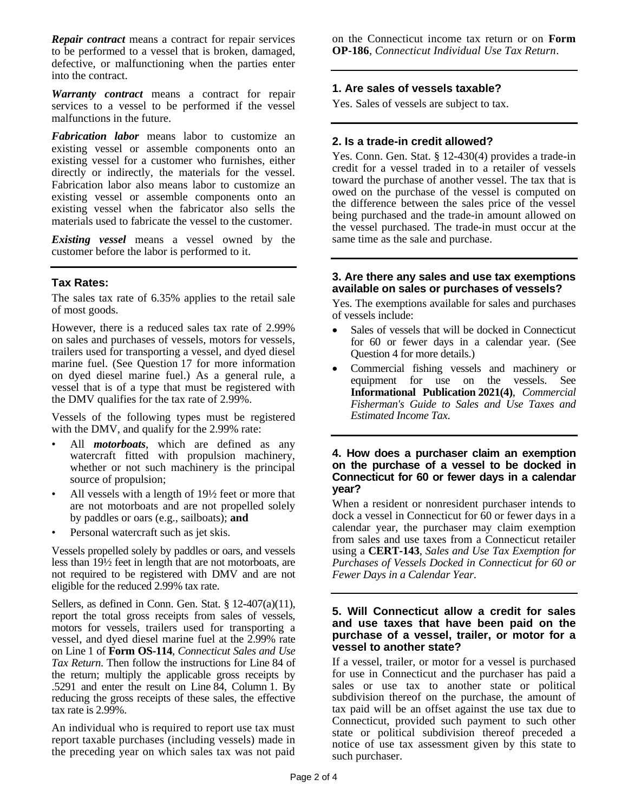*Repair contract* means a contract for repair services to be performed to a vessel that is broken, damaged, defective, or malfunctioning when the parties enter into the contract.

*Warranty contract* means a contract for repair services to a vessel to be performed if the vessel malfunctions in the future.

*Fabrication labor* means labor to customize an existing vessel or assemble components onto an existing vessel for a customer who furnishes, either directly or indirectly, the materials for the vessel. Fabrication labor also means labor to customize an existing vessel or assemble components onto an existing vessel when the fabricator also sells the materials used to fabricate the vessel to the customer.

*Existing vessel* means a vessel owned by the customer before the labor is performed to it.

# **Tax Rates:**

The sales tax rate of 6.35% applies to the retail sale of most goods.

However, there is a reduced sales tax rate of 2.99% on sales and purchases of vessels, motors for vessels, trailers used for transporting a vessel, and dyed diesel marine fuel. (See Question 17 for more information on dyed diesel marine fuel.) As a general rule, a vessel that is of a type that must be registered with the DMV qualifies for the tax rate of 2.99%.

Vessels of the following types must be registered with the DMV, and qualify for the 2.99% rate:

- All *motorboats*, which are defined as any watercraft fitted with propulsion machinery, whether or not such machinery is the principal source of propulsion;
- All vessels with a length of 19½ feet or more that are not motorboats and are not propelled solely by paddles or oars (e.g., sailboats); **and**
- Personal watercraft such as jet skis.

Vessels propelled solely by paddles or oars, and vessels less than 19½ feet in length that are not motorboats, are not required to be registered with DMV and are not eligible for the reduced 2.99% tax rate.

Sellers, as defined in Conn. Gen. Stat. § 12-407(a)(11), report the total gross receipts from sales of vessels, motors for vessels, trailers used for transporting a vessel, and dyed diesel marine fuel at the 2.99% rate on Line 1 of **Form OS-114**, *Connecticut Sales and Use Tax Return*. Then follow the instructions for Line 84 of the return; multiply the applicable gross receipts by .5291 and enter the result on Line 84, Column 1. By reducing the gross receipts of these sales, the effective tax rate is 2.99%.

An individual who is required to report use tax must report taxable purchases (including vessels) made in the preceding year on which sales tax was not paid on the Connecticut income tax return or on **Form OP-186**, *Connecticut Individual Use Tax Return*.

## **1. Are sales of vessels taxable?**

Yes. Sales of vessels are subject to tax.

## **2. Is a trade-in credit allowed?**

Yes. Conn. Gen. Stat. § 12-430(4) provides a trade-in credit for a vessel traded in to a retailer of vessels toward the purchase of another vessel. The tax that is owed on the purchase of the vessel is computed on the difference between the sales price of the vessel being purchased and the trade-in amount allowed on the vessel purchased. The trade-in must occur at the same time as the sale and purchase.

## **3. Are there any sales and use tax exemptions available on sales or purchases of vessels?**

Yes. The exemptions available for sales and purchases of vessels include:

- Sales of vessels that will be docked in Connecticut for 60 or fewer days in a calendar year. (See Question 4 for more details.)
- Commercial fishing vessels and machinery or equipment for use on the vessels. See **Informational Publication 2021(4)**, *Commercial Fisherman's Guide to Sales and Use Taxes and Estimated Income Tax*.

#### **4. How does a purchaser claim an exemption on the purchase of a vessel to be docked in Connecticut for 60 or fewer days in a calendar year?**

When a resident or nonresident purchaser intends to dock a vessel in Connecticut for 60 or fewer days in a calendar year, the purchaser may claim exemption from sales and use taxes from a Connecticut retailer using a **CERT-143**, *Sales and Use Tax Exemption for Purchases of Vessels Docked in Connecticut for 60 or Fewer Days in a Calendar Year*.

#### **5. Will Connecticut allow a credit for sales and use taxes that have been paid on the purchase of a vessel, trailer, or motor for a vessel to another state?**

If a vessel, trailer, or motor for a vessel is purchased for use in Connecticut and the purchaser has paid a sales or use tax to another state or political subdivision thereof on the purchase, the amount of tax paid will be an offset against the use tax due to Connecticut, provided such payment to such other state or political subdivision thereof preceded a notice of use tax assessment given by this state to such purchaser.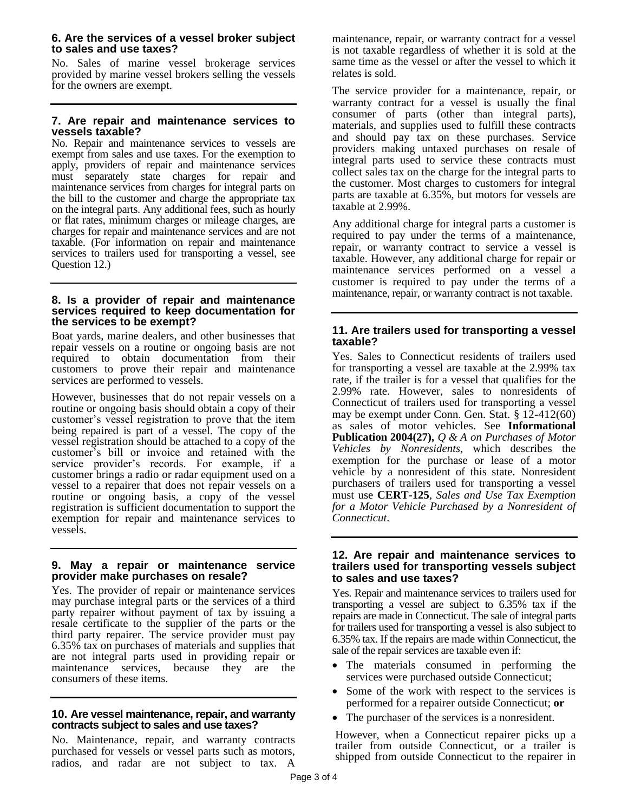#### **6. Are the services of a vessel broker subject to sales and use taxes?**

No. Sales of marine vessel brokerage services provided by marine vessel brokers selling the vessels for the owners are exempt.

## **7. Are repair and maintenance services to vessels taxable?**

No. Repair and maintenance services to vessels are exempt from sales and use taxes. For the exemption to apply, providers of repair and maintenance services must separately state charges for repair and maintenance services from charges for integral parts on the bill to the customer and charge the appropriate tax on the integral parts. Any additional fees, such as hourly or flat rates, minimum charges or mileage charges, are charges for repair and maintenance services and are not taxable. (For information on repair and maintenance services to trailers used for transporting a vessel, see Question 12.)

#### **8. Is a provider of repair and maintenance services required to keep documentation for the services to be exempt?**

Boat yards, marine dealers, and other businesses that repair vessels on a routine or ongoing basis are not required to obtain documentation from their customers to prove their repair and maintenance services are performed to vessels.

However, businesses that do not repair vessels on a routine or ongoing basis should obtain a copy of their customer's vessel registration to prove that the item being repaired is part of a vessel. The copy of the vessel registration should be attached to a copy of the customer's bill or invoice and retained with the service provider's records. For example, if a customer brings a radio or radar equipment used on a vessel to a repairer that does not repair vessels on a routine or ongoing basis, a copy of the vessel registration is sufficient documentation to support the exemption for repair and maintenance services to vessels.

#### **9. May a repair or maintenance service provider make purchases on resale?**

Yes. The provider of repair or maintenance services may purchase integral parts or the services of a third party repairer without payment of tax by issuing a resale certificate to the supplier of the parts or the third party repairer. The service provider must pay 6.35% tax on purchases of materials and supplies that are not integral parts used in providing repair or maintenance services, because they are the consumers of these items.

#### **10. Are vessel maintenance, repair, and warranty contracts subject to sales and use taxes?**

No. Maintenance, repair, and warranty contracts purchased for vessels or vessel parts such as motors, radios, and radar are not subject to tax. A maintenance, repair, or warranty contract for a vessel is not taxable regardless of whether it is sold at the same time as the vessel or after the vessel to which it relates is sold.

The service provider for a maintenance, repair, or warranty contract for a vessel is usually the final consumer of parts (other than integral parts), materials, and supplies used to fulfill these contracts and should pay tax on these purchases. Service providers making untaxed purchases on resale of integral parts used to service these contracts must collect sales tax on the charge for the integral parts to the customer. Most charges to customers for integral parts are taxable at 6.35%, but motors for vessels are taxable at 2.99%.

Any additional charge for integral parts a customer is required to pay under the terms of a maintenance, repair, or warranty contract to service a vessel is taxable. However, any additional charge for repair or maintenance services performed on a vessel a customer is required to pay under the terms of a maintenance, repair, or warranty contract is not taxable.

# **11. Are trailers used for transporting a vessel taxable?**

Yes. Sales to Connecticut residents of trailers used for transporting a vessel are taxable at the 2.99% tax rate, if the trailer is for a vessel that qualifies for the 2.99% rate. However, sales to nonresidents of Connecticut of trailers used for transporting a vessel may be exempt under Conn. Gen. Stat. § 12-412(60) as sales of motor vehicles. See **Informational Publication 2004(27),** *Q & A on Purchases of Motor Vehicles by Nonresidents*, which describes the exemption for the purchase or lease of a motor vehicle by a nonresident of this state. Nonresident purchasers of trailers used for transporting a vessel must use **CERT-125**, *Sales and Use Tax Exemption for a Motor Vehicle Purchased by a Nonresident of Connecticut*.

#### **12. Are repair and maintenance services to trailers used for transporting vessels subject to sales and use taxes?**

Yes. Repair and maintenance services to trailers used for transporting a vessel are subject to 6.35% tax if the repairs are made in Connecticut. The sale of integral parts for trailers used for transporting a vessel is also subject to 6.35% tax. If the repairs are made within Connecticut, the sale of the repair services are taxable even if:

- The materials consumed in performing the services were purchased outside Connecticut;
- Some of the work with respect to the services is performed for a repairer outside Connecticut; **or**
- The purchaser of the services is a nonresident.

However, when a Connecticut repairer picks up a trailer from outside Connecticut, or a trailer is shipped from outside Connecticut to the repairer in